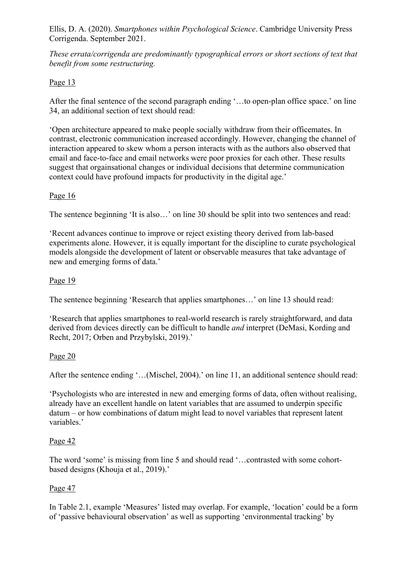*These errata/corrigenda are predominantly typographical errors or short sections of text that benefit from some restructuring.* 

## Page 13

After the final sentence of the second paragraph ending '…to open-plan office space.' on line 34, an additional section of text should read:

'Open architecture appeared to make people socially withdraw from their officemates. In contrast, electronic communication increased accordingly. However, changing the channel of interaction appeared to skew whom a person interacts with as the authors also observed that email and face-to-face and email networks were poor proxies for each other. These results suggest that orgainsational changes or individual decisions that determine communication context could have profound impacts for productivity in the digital age.'

## Page 16

The sentence beginning 'It is also…' on line 30 should be split into two sentences and read:

'Recent advances continue to improve or reject existing theory derived from lab-based experiments alone. However, it is equally important for the discipline to curate psychological models alongside the development of latent or observable measures that take advantage of new and emerging forms of data.'

## Page 19

The sentence beginning 'Research that applies smartphones…' on line 13 should read:

'Research that applies smartphones to real-world research is rarely straightforward, and data derived from devices directly can be difficult to handle *and* interpret (DeMasi, Kording and Recht, 2017; Orben and Przybylski, 2019).'

## Page 20

After the sentence ending '...(Mischel, 2004).' on line 11, an additional sentence should read:

'Psychologists who are interested in new and emerging forms of data, often without realising, already have an excellent handle on latent variables that are assumed to underpin specific datum – or how combinations of datum might lead to novel variables that represent latent variables.'

## Page 42

The word 'some' is missing from line 5 and should read '…contrasted with some cohortbased designs (Khouja et al., 2019).'

## Page 47

In Table 2.1, example 'Measures' listed may overlap. For example, 'location' could be a form of 'passive behavioural observation' as well as supporting 'environmental tracking' by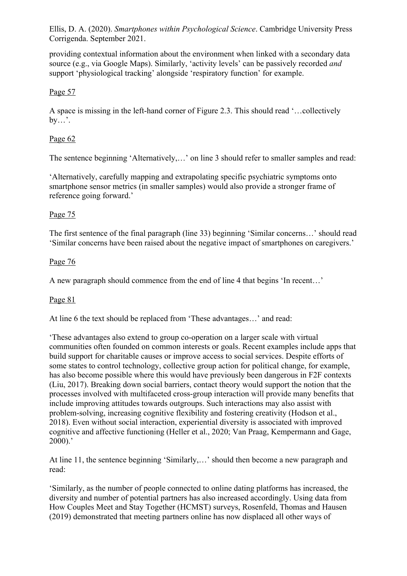providing contextual information about the environment when linked with a secondary data source (e.g., via Google Maps). Similarly, 'activity levels' can be passively recorded *and* support 'physiological tracking' alongside 'respiratory function' for example.

## Page 57

A space is missing in the left-hand corner of Figure 2.3. This should read '…collectively by…'.

## Page 62

The sentence beginning 'Alternatively,…' on line 3 should refer to smaller samples and read:

'Alternatively, carefully mapping and extrapolating specific psychiatric symptoms onto smartphone sensor metrics (in smaller samples) would also provide a stronger frame of reference going forward.'

## Page 75

The first sentence of the final paragraph (line 33) beginning 'Similar concerns…' should read 'Similar concerns have been raised about the negative impact of smartphones on caregivers.'

## Page 76

A new paragraph should commence from the end of line 4 that begins 'In recent…'

## Page 81

At line 6 the text should be replaced from 'These advantages…' and read:

'These advantages also extend to group co-operation on a larger scale with virtual communities often founded on common interests or goals. Recent examples include apps that build support for charitable causes or improve access to social services. Despite efforts of some states to control technology, collective group action for political change, for example, has also become possible where this would have previously been dangerous in F2F contexts (Liu, 2017). Breaking down social barriers, contact theory would support the notion that the processes involved with multifaceted cross-group interaction will provide many benefits that include improving attitudes towards outgroups. Such interactions may also assist with problem-solving, increasing cognitive flexibility and fostering creativity (Hodson et al., 2018). Even without social interaction, experiential diversity is associated with improved cognitive and affective functioning (Heller et al., 2020; Van Praag, Kempermann and Gage, 2000).'

At line 11, the sentence beginning 'Similarly,…' should then become a new paragraph and read:

'Similarly, as the number of people connected to online dating platforms has increased, the diversity and number of potential partners has also increased accordingly. Using data from How Couples Meet and Stay Together (HCMST) surveys, Rosenfeld, Thomas and Hausen (2019) demonstrated that meeting partners online has now displaced all other ways of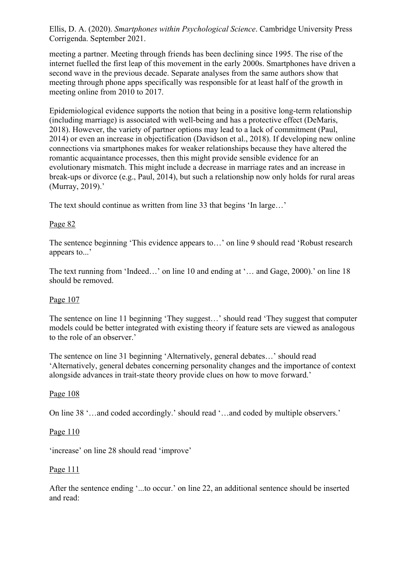meeting a partner. Meeting through friends has been declining since 1995. The rise of the internet fuelled the first leap of this movement in the early 2000s. Smartphones have driven a second wave in the previous decade. Separate analyses from the same authors show that meeting through phone apps specifically was responsible for at least half of the growth in meeting online from 2010 to 2017.

Epidemiological evidence supports the notion that being in a positive long-term relationship (including marriage) is associated with well-being and has a protective effect (DeMaris, 2018). However, the variety of partner options may lead to a lack of commitment (Paul, 2014) or even an increase in objectification (Davidson et al., 2018). If developing new online connections via smartphones makes for weaker relationships because they have altered the romantic acquaintance processes, then this might provide sensible evidence for an evolutionary mismatch. This might include a decrease in marriage rates and an increase in break-ups or divorce (e.g., Paul, 2014), but such a relationship now only holds for rural areas (Murray, 2019).'

The text should continue as written from line 33 that begins 'In large…'

### Page 82

The sentence beginning 'This evidence appears to…' on line 9 should read 'Robust research appears to...'

The text running from 'Indeed...' on line 10 and ending at '... and Gage, 2000).' on line 18 should be removed.

#### Page 107

The sentence on line 11 beginning 'They suggest…' should read 'They suggest that computer models could be better integrated with existing theory if feature sets are viewed as analogous to the role of an observer.'

The sentence on line 31 beginning 'Alternatively, general debates…' should read 'Alternatively, general debates concerning personality changes and the importance of context alongside advances in trait-state theory provide clues on how to move forward.'

#### Page 108

On line 38 '…and coded accordingly.' should read '…and coded by multiple observers.'

#### Page 110

'increase' on line 28 should read 'improve'

#### Page 111

After the sentence ending '...to occur.' on line 22, an additional sentence should be inserted and read: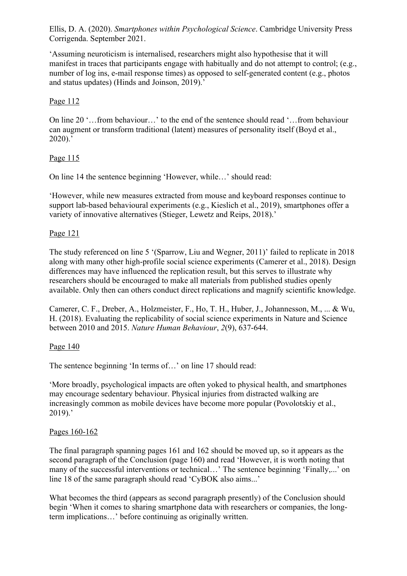'Assuming neuroticism is internalised, researchers might also hypothesise that it will manifest in traces that participants engage with habitually and do not attempt to control; (e.g., number of log ins, e-mail response times) as opposed to self-generated content (e.g., photos and status updates) (Hinds and Joinson, 2019).'

## Page 112

On line 20 '…from behaviour…' to the end of the sentence should read '…from behaviour can augment or transform traditional (latent) measures of personality itself (Boyd et al., 2020).'

## Page 115

On line 14 the sentence beginning 'However, while…' should read:

'However, while new measures extracted from mouse and keyboard responses continue to support lab-based behavioural experiments (e.g., Kieslich et al., 2019), smartphones offer a variety of innovative alternatives (Stieger, Lewetz and Reips, 2018).'

### Page 121

The study referenced on line 5 '(Sparrow, Liu and Wegner, 2011)' failed to replicate in 2018 along with many other high-profile social science experiments (Camerer et al., 2018). Design differences may have influenced the replication result, but this serves to illustrate why researchers should be encouraged to make all materials from published studies openly available. Only then can others conduct direct replications and magnify scientific knowledge.

Camerer, C. F., Dreber, A., Holzmeister, F., Ho, T. H., Huber, J., Johannesson, M., ... & Wu, H. (2018). Evaluating the replicability of social science experiments in Nature and Science between 2010 and 2015. *Nature Human Behaviour*, *2*(9), 637-644.

## Page 140

The sentence beginning 'In terms of...' on line 17 should read:

'More broadly, psychological impacts are often yoked to physical health, and smartphones may encourage sedentary behaviour. Physical injuries from distracted walking are increasingly common as mobile devices have become more popular (Povolotskiy et al., 2019).'

#### Pages 160-162

The final paragraph spanning pages 161 and 162 should be moved up, so it appears as the second paragraph of the Conclusion (page 160) and read 'However, it is worth noting that many of the successful interventions or technical…' The sentence beginning 'Finally,...' on line 18 of the same paragraph should read 'CyBOK also aims...'

What becomes the third (appears as second paragraph presently) of the Conclusion should begin 'When it comes to sharing smartphone data with researchers or companies, the longterm implications…' before continuing as originally written.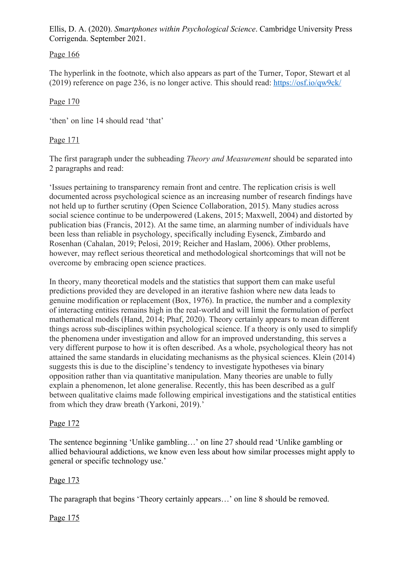Page 166

The hyperlink in the footnote, which also appears as part of the Turner, Topor, Stewart et al (2019) reference on page 236, is no longer active. This should read: https://osf.io/qw9ck/

## Page 170

'then' on line 14 should read 'that'

## Page 171

The first paragraph under the subheading *Theory and Measurement* should be separated into 2 paragraphs and read:

'Issues pertaining to transparency remain front and centre. The replication crisis is well documented across psychological science as an increasing number of research findings have not held up to further scrutiny (Open Science Collaboration, 2015). Many studies across social science continue to be underpowered (Lakens, 2015; Maxwell, 2004) and distorted by publication bias (Francis, 2012). At the same time, an alarming number of individuals have been less than reliable in psychology, specifically including Eysenck, Zimbardo and Rosenhan (Cahalan, 2019; Pelosi, 2019; Reicher and Haslam, 2006). Other problems, however, may reflect serious theoretical and methodological shortcomings that will not be overcome by embracing open science practices.

In theory, many theoretical models and the statistics that support them can make useful predictions provided they are developed in an iterative fashion where new data leads to genuine modification or replacement (Box, 1976). In practice, the number and a complexity of interacting entities remains high in the real-world and will limit the formulation of perfect mathematical models (Hand, 2014; Phaf, 2020). Theory certainly appears to mean different things across sub-disciplines within psychological science. If a theory is only used to simplify the phenomena under investigation and allow for an improved understanding, this serves a very different purpose to how it is often described. As a whole, psychological theory has not attained the same standards in elucidating mechanisms as the physical sciences. Klein (2014) suggests this is due to the discipline's tendency to investigate hypotheses via binary opposition rather than via quantitative manipulation. Many theories are unable to fully explain a phenomenon, let alone generalise. Recently, this has been described as a gulf between qualitative claims made following empirical investigations and the statistical entities from which they draw breath (Yarkoni, 2019).'

## Page 172

The sentence beginning 'Unlike gambling…' on line 27 should read 'Unlike gambling or allied behavioural addictions, we know even less about how similar processes might apply to general or specific technology use.'

# Page 173

The paragraph that begins 'Theory certainly appears…' on line 8 should be removed.

# Page 175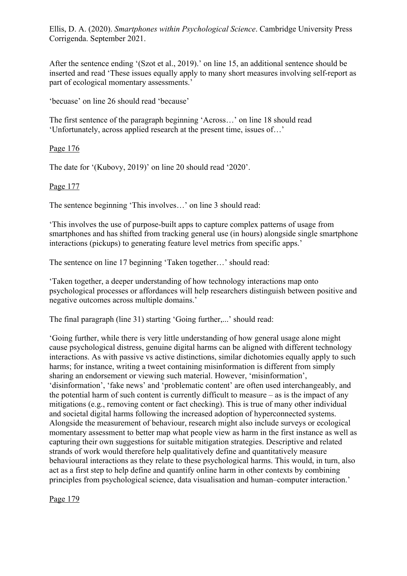After the sentence ending '(Szot et al., 2019).' on line 15, an additional sentence should be inserted and read 'These issues equally apply to many short measures involving self-report as part of ecological momentary assessments.'

'becuase' on line 26 should read 'because'

The first sentence of the paragraph beginning 'Across…' on line 18 should read 'Unfortunately, across applied research at the present time, issues of…'

Page 176

The date for '(Kubovy, 2019)' on line 20 should read '2020'.

Page 177

The sentence beginning 'This involves…' on line 3 should read:

'This involves the use of purpose-built apps to capture complex patterns of usage from smartphones and has shifted from tracking general use (in hours) alongside single smartphone interactions (pickups) to generating feature level metrics from specific apps.'

The sentence on line 17 beginning 'Taken together…' should read:

'Taken together, a deeper understanding of how technology interactions map onto psychological processes or affordances will help researchers distinguish between positive and negative outcomes across multiple domains.'

The final paragraph (line 31) starting 'Going further,...' should read:

'Going further, while there is very little understanding of how general usage alone might cause psychological distress, genuine digital harms can be aligned with different technology interactions. As with passive vs active distinctions, similar dichotomies equally apply to such harms; for instance, writing a tweet containing misinformation is different from simply sharing an endorsement or viewing such material. However, 'misinformation', 'disinformation', 'fake news' and 'problematic content' are often used interchangeably, and the potential harm of such content is currently difficult to measure – as is the impact of any mitigations (e.g., removing content or fact checking). This is true of many other individual and societal digital harms following the increased adoption of hyperconnected systems. Alongside the measurement of behaviour, research might also include surveys or ecological momentary assessment to better map what people view as harm in the first instance as well as capturing their own suggestions for suitable mitigation strategies. Descriptive and related strands of work would therefore help qualitatively define and quantitatively measure behavioural interactions as they relate to these psychological harms. This would, in turn, also act as a first step to help define and quantify online harm in other contexts by combining principles from psychological science, data visualisation and human–computer interaction.'

Page 179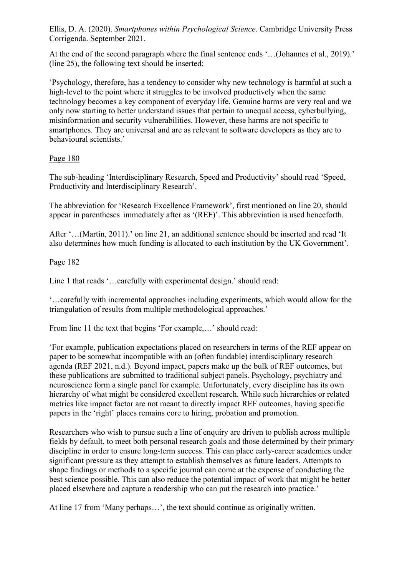At the end of the second paragraph where the final sentence ends '...(Johannes et al., 2019).' (line 25), the following text should be inserted:

'Psychology, therefore, has a tendency to consider why new technology is harmful at such a high-level to the point where it struggles to be involved productively when the same technology becomes a key component of everyday life. Genuine harms are very real and we only now starting to better understand issues that pertain to unequal access, cyberbullying, misinformation and security vulnerabilities. However, these harms are not specific to smartphones. They are universal and are as relevant to software developers as they are to behavioural scientists.'

## Page 180

The sub-heading 'Interdisciplinary Research, Speed and Productivity' should read 'Speed, Productivity and Interdisciplinary Research'.

The abbreviation for 'Research Excellence Framework', first mentioned on line 20, should appear in parentheses immediately after as '(REF)'. This abbreviation is used henceforth.

After '…(Martin, 2011).' on line 21, an additional sentence should be inserted and read 'It also determines how much funding is allocated to each institution by the UK Government'.

## Page 182

Line 1 that reads '…carefully with experimental design.' should read:

'…carefully with incremental approaches including experiments, which would allow for the triangulation of results from multiple methodological approaches.'

From line 11 the text that begins 'For example,…' should read:

'For example, publication expectations placed on researchers in terms of the REF appear on paper to be somewhat incompatible with an (often fundable) interdisciplinary research agenda (REF 2021, n.d.). Beyond impact, papers make up the bulk of REF outcomes, but these publications are submitted to traditional subject panels. Psychology, psychiatry and neuroscience form a single panel for example. Unfortunately, every discipline has its own hierarchy of what might be considered excellent research. While such hierarchies or related metrics like impact factor are not meant to directly impact REF outcomes, having specific papers in the 'right' places remains core to hiring, probation and promotion.

Researchers who wish to pursue such a line of enquiry are driven to publish across multiple fields by default, to meet both personal research goals and those determined by their primary discipline in order to ensure long-term success. This can place early-career academics under significant pressure as they attempt to establish themselves as future leaders. Attempts to shape findings or methods to a specific journal can come at the expense of conducting the best science possible. This can also reduce the potential impact of work that might be better placed elsewhere and capture a readership who can put the research into practice.'

At line 17 from 'Many perhaps…', the text should continue as originally written.